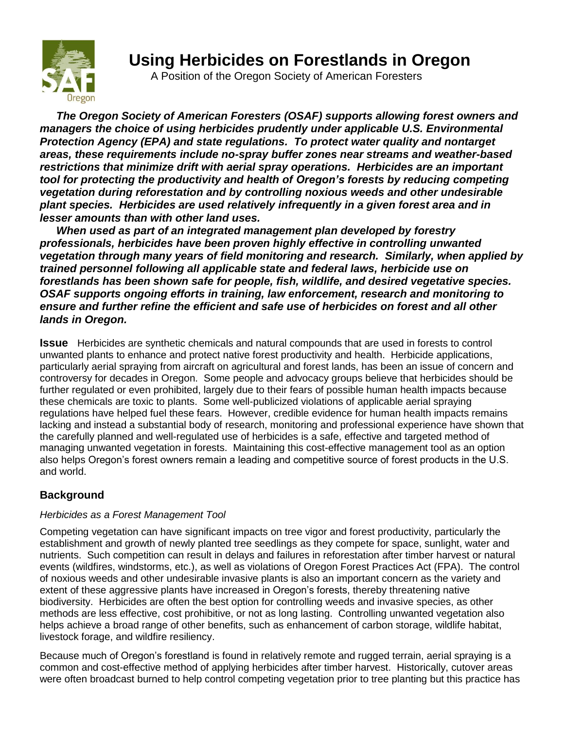

# **Using Herbicides on Forestlands in Oregon**

A Position of the Oregon Society of American Foresters

*The Oregon Society of American Foresters (OSAF) supports allowing forest owners and managers the choice of using herbicides prudently under applicable U.S. Environmental Protection Agency (EPA) and state regulations. To protect water quality and nontarget areas, these requirements include no-spray buffer zones near streams and weather-based restrictions that minimize drift with aerial spray operations. Herbicides are an important tool for protecting the productivity and health of Oregon's forests by reducing competing vegetation during reforestation and by controlling noxious weeds and other undesirable plant species. Herbicides are used relatively infrequently in a given forest area and in lesser amounts than with other land uses.*

*When used as part of an integrated management plan developed by forestry professionals, herbicides have been proven highly effective in controlling unwanted vegetation through many years of field monitoring and research. Similarly, when applied by trained personnel following all applicable state and federal laws, herbicide use on forestlands has been shown safe for people, fish, wildlife, and desired vegetative species. OSAF supports ongoing efforts in training, law enforcement, research and monitoring to ensure and further refine the efficient and safe use of herbicides on forest and all other lands in Oregon.*

**Issue** Herbicides are synthetic chemicals and natural compounds that are used in forests to control unwanted plants to enhance and protect native forest productivity and health. Herbicide applications, particularly aerial spraying from aircraft on agricultural and forest lands, has been an issue of concern and controversy for decades in Oregon. Some people and advocacy groups believe that herbicides should be further regulated or even prohibited, largely due to their fears of possible human health impacts because these chemicals are toxic to plants. Some well-publicized violations of applicable aerial spraying regulations have helped fuel these fears. However, credible evidence for human health impacts remains lacking and instead a substantial body of research, monitoring and professional experience have shown that the carefully planned and well-regulated use of herbicides is a safe, effective and targeted method of managing unwanted vegetation in forests. Maintaining this cost-effective management tool as an option also helps Oregon's forest owners remain a leading and competitive source of forest products in the U.S. and world.

# **Background**

## *Herbicides as a Forest Management Tool*

Competing vegetation can have significant impacts on tree vigor and forest productivity, particularly the establishment and growth of newly planted tree seedlings as they compete for space, sunlight, water and nutrients. Such competition can result in delays and failures in reforestation after timber harvest or natural events (wildfires, windstorms, etc.), as well as violations of Oregon Forest Practices Act (FPA). The control of noxious weeds and other undesirable invasive plants is also an important concern as the variety and extent of these aggressive plants have increased in Oregon's forests, thereby threatening native biodiversity. Herbicides are often the best option for controlling weeds and invasive species, as other methods are less effective, cost prohibitive, or not as long lasting. Controlling unwanted vegetation also helps achieve a broad range of other benefits, such as enhancement of carbon storage, wildlife habitat, livestock forage, and wildfire resiliency.

Because much of Oregon's forestland is found in relatively remote and rugged terrain, aerial spraying is a common and cost-effective method of applying herbicides after timber harvest. Historically, cutover areas were often broadcast burned to help control competing vegetation prior to tree planting but this practice has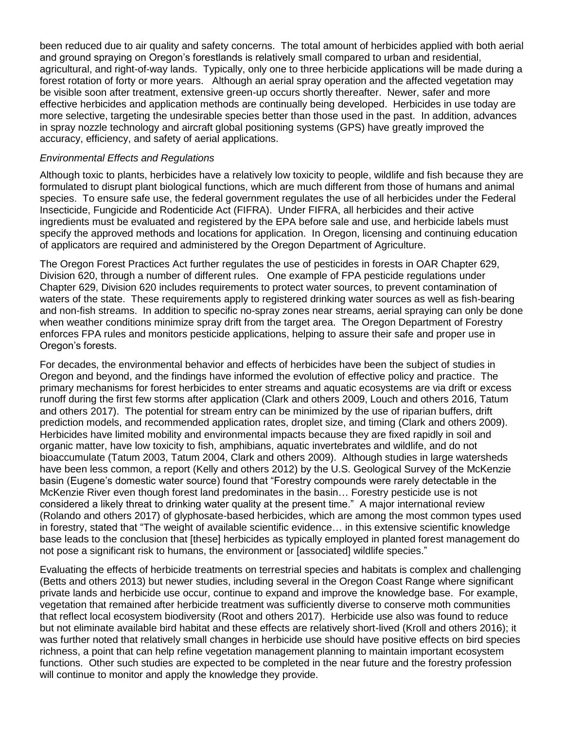been reduced due to air quality and safety concerns. The total amount of herbicides applied with both aerial and ground spraying on Oregon's forestlands is relatively small compared to urban and residential, agricultural, and right-of-way lands. Typically, only one to three herbicide applications will be made during a forest rotation of forty or more years. Although an aerial spray operation and the affected vegetation may be visible soon after treatment, extensive green-up occurs shortly thereafter. Newer, safer and more effective herbicides and application methods are continually being developed. Herbicides in use today are more selective, targeting the undesirable species better than those used in the past. In addition, advances in spray nozzle technology and aircraft global positioning systems (GPS) have greatly improved the accuracy, efficiency, and safety of aerial applications.

#### *Environmental Effects and Regulations*

Although toxic to plants, herbicides have a relatively low toxicity to people, wildlife and fish because they are formulated to disrupt plant biological functions, which are much different from those of humans and animal species. To ensure safe use, the federal government regulates the use of all herbicides under the Federal Insecticide, Fungicide and Rodenticide Act (FIFRA). Under FIFRA, all herbicides and their active ingredients must be evaluated and registered by the EPA before sale and use, and herbicide labels must specify the approved methods and locations for application. In Oregon, licensing and continuing education of applicators are required and administered by the Oregon Department of Agriculture.

The Oregon Forest Practices Act further regulates the use of pesticides in forests in OAR Chapter 629, Division 620, through a number of different rules. One example of FPA pesticide regulations under Chapter 629, Division 620 includes requirements to protect water sources, to prevent contamination of waters of the state. These requirements apply to registered drinking water sources as well as fish-bearing and non-fish streams. In addition to specific no-spray zones near streams, aerial spraying can only be done when weather conditions minimize spray drift from the target area. The Oregon Department of Forestry enforces FPA rules and monitors pesticide applications, helping to assure their safe and proper use in Oregon's forests.

For decades, the environmental behavior and effects of herbicides have been the subject of studies in Oregon and beyond, and the findings have informed the evolution of effective policy and practice. The primary mechanisms for forest herbicides to enter streams and aquatic ecosystems are via drift or excess runoff during the first few storms after application (Clark and others 2009, Louch and others 2016, Tatum and others 2017). The potential for stream entry can be minimized by the use of riparian buffers, drift prediction models, and recommended application rates, droplet size, and timing (Clark and others 2009). Herbicides have limited mobility and environmental impacts because they are fixed rapidly in soil and organic matter, have low toxicity to fish, amphibians, aquatic invertebrates and wildlife, and do not bioaccumulate (Tatum 2003, Tatum 2004, Clark and others 2009). Although studies in large watersheds have been less common, a report (Kelly and others 2012) by the U.S. Geological Survey of the McKenzie basin (Eugene's domestic water source) found that "Forestry compounds were rarely detectable in the McKenzie River even though forest land predominates in the basin… Forestry pesticide use is not considered a likely threat to drinking water quality at the present time." A major international review (Rolando and others 2017) of glyphosate-based herbicides, which are among the most common types used in forestry, stated that "The weight of available scientific evidence… in this extensive scientific knowledge base leads to the conclusion that [these] herbicides as typically employed in planted forest management do not pose a significant risk to humans, the environment or [associated] wildlife species."

Evaluating the effects of herbicide treatments on terrestrial species and habitats is complex and challenging (Betts and others 2013) but newer studies, including several in the Oregon Coast Range where significant private lands and herbicide use occur, continue to expand and improve the knowledge base. For example, vegetation that remained after herbicide treatment was sufficiently diverse to conserve moth communities that reflect local ecosystem biodiversity (Root and others 2017). Herbicide use also was found to reduce but not eliminate available bird habitat and these effects are relatively short-lived (Kroll and others 2016); it was further noted that relatively small changes in herbicide use should have positive effects on bird species richness, a point that can help refine vegetation management planning to maintain important ecosystem functions. Other such studies are expected to be completed in the near future and the forestry profession will continue to monitor and apply the knowledge they provide.